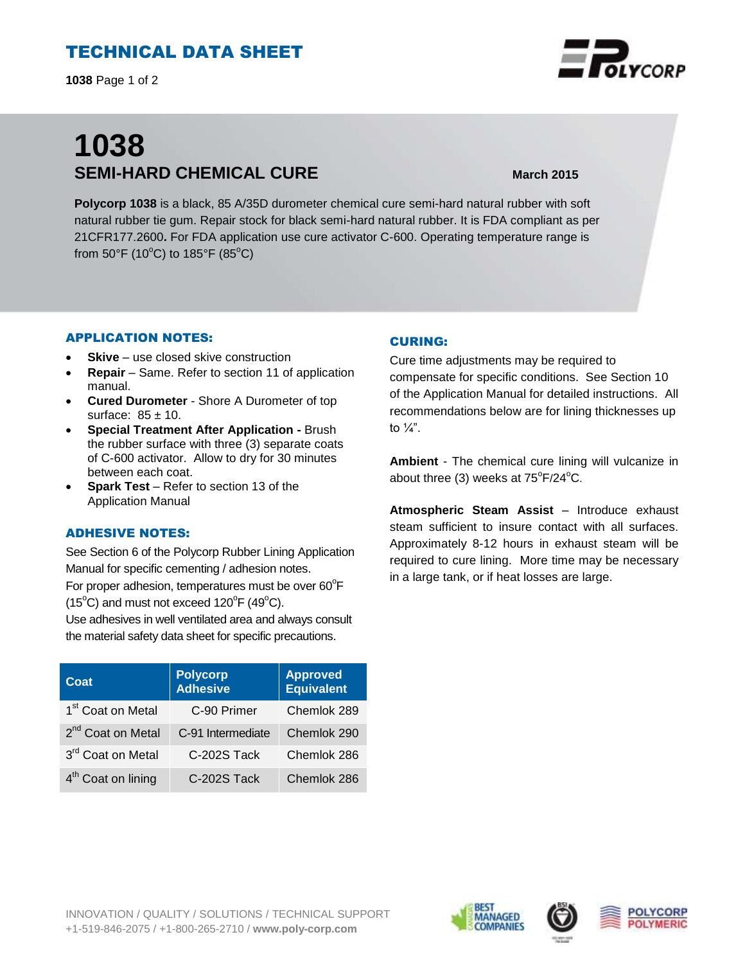# TECHNICAL DATA SHEET

**1038** Page 1 of 2

# **1038 SEMI-HARD CHEMICAL CURE March 2015**

**Polycorp 1038** is a black, 85 A/35D durometer chemical cure semi-hard natural rubber with soft natural rubber tie gum. Repair stock for black semi-hard natural rubber. It is FDA compliant as per 21CFR177.2600**.** For FDA application use cure activator C-600. Operating temperature range is from 50°F (10°C) to 185°F (85°C)

#### APPLICATION NOTES:

- **Skive** use closed skive construction
- **Repair**  Same. Refer to section 11 of application manual.
- **Cured Durometer**  Shore A Durometer of top surface:  $85 \pm 10$ .
- **Special Treatment After Application -** Brush the rubber surface with three (3) separate coats of C-600 activator. Allow to dry for 30 minutes between each coat.
- **Spark Test**  Refer to section 13 of the Application Manual

### ADHESIVE NOTES:

See Section 6 of the Polycorp Rubber Lining Application Manual for specific cementing / adhesion notes. For proper adhesion, temperatures must be over  $60^{\circ}$ F  $(15^{\circ}C)$  and must not exceed  $120^{\circ}F(49^{\circ}C)$ .

Use adhesives in well ventilated area and always consult the material safety data sheet for specific precautions.

| Coat                           | <b>Polycorp</b><br><b>Adhesive</b> | <b>Approved</b><br><b>Equivalent</b> |
|--------------------------------|------------------------------------|--------------------------------------|
| 1 <sup>st</sup> Coat on Metal  | C-90 Primer                        | Chemlok 289                          |
| 2 <sup>nd</sup> Coat on Metal  | C-91 Intermediate                  | Chemlok 290                          |
| 3rd Coat on Metal              | C-202S Tack                        | Chemlok 286                          |
| 4 <sup>th</sup> Coat on lining | C-202S Tack                        | Chemlok 286                          |

#### CURING:

Cure time adjustments may be required to compensate for specific conditions. See Section 10 of the Application Manual for detailed instructions. All recommendations below are for lining thicknesses up to  $\frac{1}{4}$ ".

**Ambient** - The chemical cure lining will vulcanize in about three (3) weeks at  $75^{\circ}F/24^{\circ}C$ .

**Atmospheric Steam Assist** – Introduce exhaust steam sufficient to insure contact with all surfaces. Approximately 8-12 hours in exhaust steam will be required to cure lining. More time may be necessary in a large tank, or if heat losses are large.